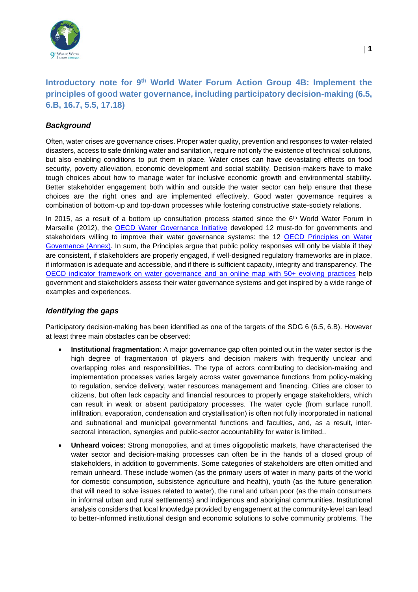

# **6.B, 16.7, 5.5, 17.18)**

## *Background*

Often, water crises are governance crises. Proper water quality, prevention and responses to water-related disasters, access to safe drinking water and sanitation, require not only the existence of technical solutions, but also enabling conditions to put them in place. Water crises can have devastating effects on food security, poverty alleviation, economic development and social stability. Decision-makers have to make tough choices about how to manage water for inclusive economic growth and environmental stability. Better stakeholder engagement both within and outside the water sector can help ensure that these choices are the right ones and are implemented effectively. Good water governance requires a combination of bottom-up and top-down processes while fostering constructive state-society relations.

In 2015, as a result of a bottom up consultation process started since the  $6<sup>th</sup>$  World Water Forum in Marseille (2012), the OECD Water Governance Initiative developed 12 must-do for governments and stakeholders willing to improve their water governance systems: the 12 OECD Principles on Water Governance (Annex). In sum, the Principles argue that public policy responses will only be viable if they are consistent, if stakeholders are properly engaged, if well-designed regulatory frameworks are in place, if information is adequate and accessible, and if there is sufficient capacity, integrity and transparency. The [OECD indicator framework on water governance and an online map with 50+ evolving practices](https://www.oecd.org/cfe/regional-policy/oecd-water-governance-indicator-framework.htm) help government and stakeholders assess their water governance systems and get inspired by a wide range of examples and experiences.

# *Identifying the gaps*

Participatory decision-making has been identified as one of the targets of the SDG 6 (6.5, 6.B). However at least three main obstacles can be observed:

- **Institutional fragmentation**: A major governance gap often pointed out in the water sector is the high degree of fragmentation of players and decision makers with frequently unclear and overlapping roles and responsibilities. The type of actors contributing to decision-making and implementation processes varies largely across water governance functions from policy-making to regulation, service delivery, water resources management and financing. Cities are closer to citizens, but often lack capacity and financial resources to properly engage stakeholders, which can result in weak or absent participatory processes. The water cycle (from surface runoff, infiltration, evaporation, condensation and crystallisation) is often not fully incorporated in national and subnational and municipal governmental functions and faculties, and, as a result, intersectoral interaction, synergies and public-sector accountability for water is limited..
- **Unheard voices**: Strong monopolies, and at times oligopolistic markets, have characterised the water sector and decision-making processes can often be in the hands of a closed group of stakeholders, in addition to governments. Some categories of stakeholders are often omitted and remain unheard. These include women (as the primary users of water in many parts of the world for domestic consumption, subsistence agriculture and health), youth (as the future generation that will need to solve issues related to water), the rural and urban poor (as the main consumers in informal urban and rural settlements) and indigenous and aboriginal communities. Institutional analysis considers that local knowledge provided by engagement at the community-level can lead to better-informed institutional design and economic solutions to solve community problems. The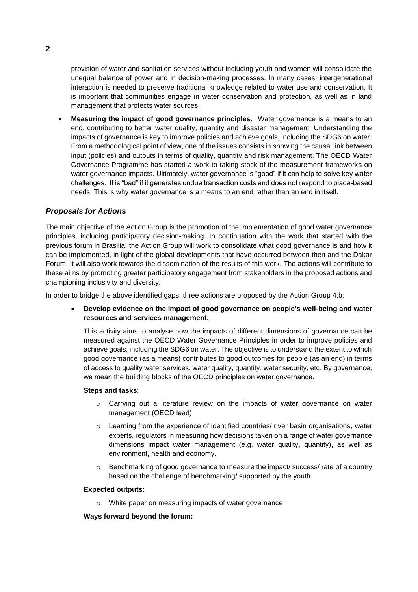provision of water and sanitation services without including youth and women will consolidate the unequal balance of power and in decision-making processes. In many cases, intergenerational interaction is needed to preserve traditional knowledge related to water use and conservation. It is important that communities engage in water conservation and protection, as well as in land management that protects water sources.

• **Measuring the impact of good governance principles.** Water governance is a means to an end, contributing to better water quality, quantity and disaster management. Understanding the impacts of governance is key to improve policies and achieve goals, including the SDG6 on water. From a methodological point of view, one of the issues consists in showing the causal link between input (policies) and outputs in terms of quality, quantity and risk management. The OECD Water Governance Programme has started a work to taking stock of the measurement frameworks on water governance impacts. Ultimately, water governance is "good" if it can help to solve key water challenges. It is "bad" if it generates undue transaction costs and does not respond to place-based needs. This is why water governance is a means to an end rather than an end in itself.

# *Proposals for Actions*

The main objective of the Action Group is the promotion of the implementation of good water governance principles, including participatory decision-making. In continuation with the work that started with the previous forum in Brasilia, the Action Group will work to consolidate what good governance is and how it can be implemented, in light of the global developments that have occurred between then and the Dakar Forum. It will also work towards the dissemination of the results of this work. The actions will contribute to these aims by promoting greater participatory engagement from stakeholders in the proposed actions and championing inclusivity and diversity.

In order to bridge the above identified gaps, three actions are proposed by the Action Group 4.b:

## • **Develop evidence on the impact of good governance on people's well-being and water resources and services management.**

This activity aims to analyse how the impacts of different dimensions of governance can be measured against the OECD Water Governance Principles in order to improve policies and achieve goals, including the SDG6 on water. The objective is to understand the extent to which good governance (as a means) contributes to good outcomes for people (as an end) in terms of access to quality water services, water quality, quantity, water security, etc. By governance, we mean the building blocks of the OECD principles on water governance.

#### **Steps and tasks**:

- o Carrying out a literature review on the impacts of water governance on water management (OECD lead)
- $\circ$  Learning from the experience of identified countries/ river basin organisations, water experts, regulators in measuring how decisions taken on a range of water governance dimensions impact water management (e.g. water quality, quantity), as well as environment, health and economy.
- $\circ$  Benchmarking of good governance to measure the impact/ success/ rate of a country based on the challenge of benchmarking/ supported by the youth

#### **Expected outputs:**

White paper on measuring impacts of water governance

#### **Ways forward beyond the forum:**

**2**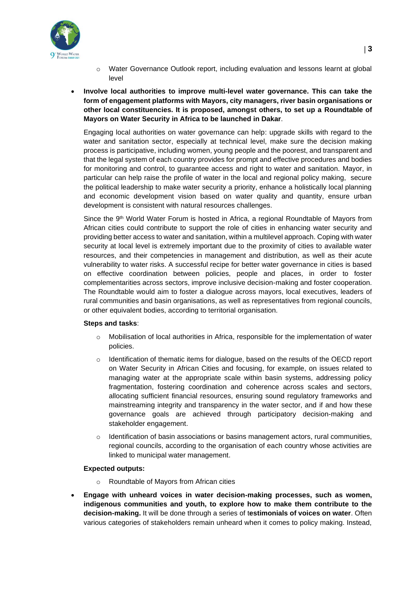

- $\circ$  Water Governance Outlook report, including evaluation and lessons learnt at global level
- **Involve local authorities to improve multi-level water governance. This can take the form of engagement platforms with Mayors, city managers, river basin organisations or other local constituencies. It is proposed, amongst others, to set up a Roundtable of Mayors on Water Security in Africa to be launched in Dakar**.

Engaging local authorities on water governance can help: upgrade skills with regard to the water and sanitation sector, especially at technical level, make sure the decision making process is participative, including women, young people and the poorest, and transparent and that the legal system of each country provides for prompt and effective procedures and bodies for monitoring and control, to guarantee access and right to water and sanitation. Mayor, in particular can help raise the profile of water in the local and regional policy making, secure the political leadership to make water security a priority, enhance a holistically local planning and economic development vision based on water quality and quantity, ensure urban development is consistent with natural resources challenges.

Since the 9<sup>th</sup> World Water Forum is hosted in Africa, a regional Roundtable of Mayors from African cities could contribute to support the role of cities in enhancing water security and providing better access to water and sanitation, within a multilevel approach. Coping with water security at local level is extremely important due to the proximity of cities to available water resources, and their competencies in management and distribution, as well as their acute vulnerability to water risks. A successful recipe for better water governance in cities is based on effective coordination between policies, people and places, in order to foster complementarities across sectors, improve inclusive decision-making and foster cooperation. The Roundtable would aim to foster a dialogue across mayors, local executives, leaders of rural communities and basin organisations, as well as representatives from regional councils, or other equivalent bodies, according to territorial organisation.

## **Steps and tasks**:

- $\circ$  Mobilisation of local authorities in Africa, responsible for the implementation of water policies.
- o Identification of thematic items for dialogue, based on the results of the OECD report on Water Security in African Cities and focusing, for example, on issues related to managing water at the appropriate scale within basin systems, addressing policy fragmentation, fostering coordination and coherence across scales and sectors, allocating sufficient financial resources, ensuring sound regulatory frameworks and mainstreaming integrity and transparency in the water sector, and if and how these governance goals are achieved through participatory decision-making and stakeholder engagement.
- o Identification of basin associations or basins management actors, rural communities, regional councils, according to the organisation of each country whose activities are linked to municipal water management.

#### **Expected outputs:**

- o Roundtable of Mayors from African cities
- **Engage with unheard voices in water decision-making processes, such as women, indigenous communities and youth, to explore how to make them contribute to the decision-making.** It will be done through a series of t**estimonials of voices on water**. Often various categories of stakeholders remain unheard when it comes to policy making. Instead,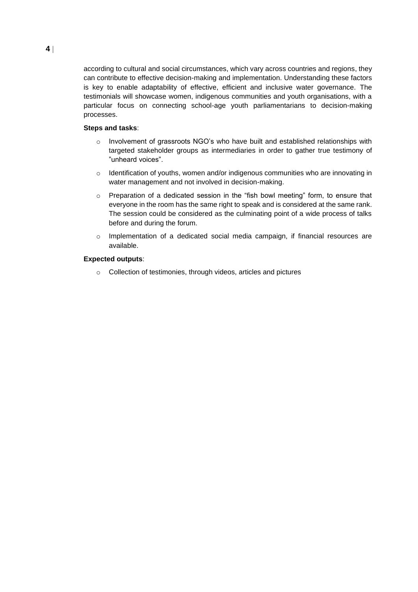according to cultural and social circumstances, which vary across countries and regions, they can contribute to effective decision-making and implementation. Understanding these factors is key to enable adaptability of effective, efficient and inclusive water governance. The testimonials will showcase women, indigenous communities and youth organisations, with a particular focus on connecting school-age youth parliamentarians to decision-making processes.

## **Steps and tasks**:

- $\circ$  Involvement of grassroots NGO's who have built and established relationships with targeted stakeholder groups as intermediaries in order to gather true testimony of "unheard voices".
- o Identification of youths, women and/or indigenous communities who are innovating in water management and not involved in decision-making.
- o Preparation of a dedicated session in the "fish bowl meeting" form, to ensure that everyone in the room has the same right to speak and is considered at the same rank. The session could be considered as the culminating point of a wide process of talks before and during the forum.
- $\circ$  Implementation of a dedicated social media campaign, if financial resources are available.

## **Expected outputs**:

o Collection of testimonies, through videos, articles and pictures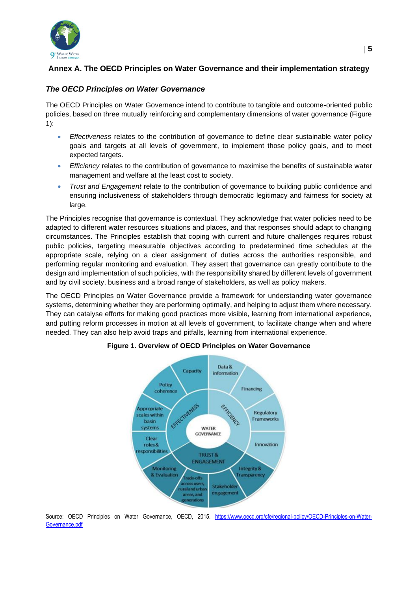

# **Annex A. The OECD Principles on Water Governance and their implementation strategy**

# *The OECD Principles on Water Governance*

The OECD Principles on Water Governance intend to contribute to tangible and outcome-oriented public policies, based on three mutually reinforcing and complementary dimensions of water governance (Figure 1):

- *Effectiveness* relates to the contribution of governance to define clear sustainable water policy goals and targets at all levels of government, to implement those policy goals, and to meet expected targets.
- *Efficiency* relates to the contribution of governance to maximise the benefits of sustainable water management and welfare at the least cost to society.
- *Trust and Engagement* relate to the contribution of governance to building public confidence and ensuring inclusiveness of stakeholders through democratic legitimacy and fairness for society at large.

The Principles recognise that governance is contextual. They acknowledge that water policies need to be adapted to different water resources situations and places, and that responses should adapt to changing circumstances. The Principles establish that coping with current and future challenges requires robust public policies, targeting measurable objectives according to predetermined time schedules at the appropriate scale, relying on a clear assignment of duties across the authorities responsible, and performing regular monitoring and evaluation. They assert that governance can greatly contribute to the design and implementation of such policies, with the responsibility shared by different levels of government and by civil society, business and a broad range of stakeholders, as well as policy makers.

The OECD Principles on Water Governance provide a framework for understanding water governance systems, determining whether they are performing optimally, and helping to adjust them where necessary. They can catalyse efforts for making good practices more visible, learning from international experience, and putting reform processes in motion at all levels of government, to facilitate change when and where needed. They can also help avoid traps and pitfalls, learning from international experience.



## **Figure 1. Overview of OECD Principles on Water Governance**

Source: OECD Principles on Water Governance, OECD, 2015. [https://www.oecd.org/cfe/regional-policy/OECD-Principles-on-Water-](https://www.oecd.org/cfe/regional-policy/OECD-Principles-on-Water-Governance.pdf)[Governance.pdf](https://www.oecd.org/cfe/regional-policy/OECD-Principles-on-Water-Governance.pdf)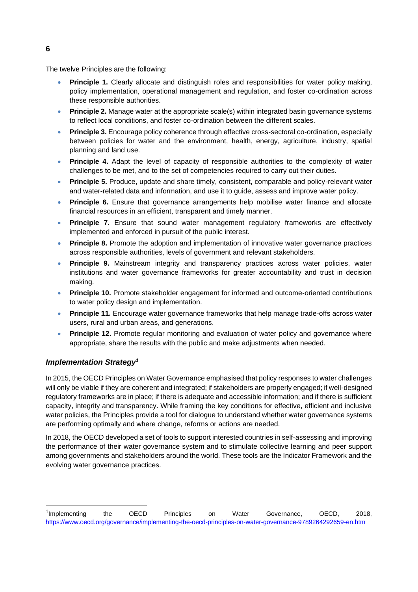The twelve Principles are the following:

- **Principle 1.** Clearly allocate and distinguish roles and responsibilities for water policy making, policy implementation, operational management and regulation, and foster co-ordination across these responsible authorities.
- **Principle 2.** Manage water at the appropriate scale(s) within integrated basin governance systems to reflect local conditions, and foster co-ordination between the different scales.
- **Principle 3.** Encourage policy coherence through effective cross-sectoral co-ordination, especially between policies for water and the environment, health, energy, agriculture, industry, spatial planning and land use.
- **Principle 4.** Adapt the level of capacity of responsible authorities to the complexity of water challenges to be met, and to the set of competencies required to carry out their duties.
- **Principle 5.** Produce, update and share timely, consistent, comparable and policy-relevant water and water-related data and information, and use it to guide, assess and improve water policy.
- **Principle 6.** Ensure that governance arrangements help mobilise water finance and allocate financial resources in an efficient, transparent and timely manner.
- **Principle 7.** Ensure that sound water management regulatory frameworks are effectively implemented and enforced in pursuit of the public interest.
- **Principle 8.** Promote the adoption and implementation of innovative water governance practices across responsible authorities, levels of government and relevant stakeholders.
- **Principle 9.** Mainstream integrity and transparency practices across water policies, water institutions and water governance frameworks for greater accountability and trust in decision making.
- **Principle 10.** Promote stakeholder engagement for informed and outcome-oriented contributions to water policy design and implementation.
- **Principle 11.** Encourage water governance frameworks that help manage trade-offs across water users, rural and urban areas, and generations.
- **Principle 12.** Promote regular monitoring and evaluation of water policy and governance where appropriate, share the results with the public and make adjustments when needed.

# *Implementation Strategy<sup>1</sup>*

In 2015, the OECD Principles on Water Governance emphasised that policy responses to water challenges will only be viable if they are coherent and integrated; if stakeholders are properly engaged; if well-designed regulatory frameworks are in place; if there is adequate and accessible information; and if there is sufficient capacity, integrity and transparency. While framing the key conditions for effective, efficient and inclusive water policies, the Principles provide a tool for dialogue to understand whether water governance systems are performing optimally and where change, reforms or actions are needed.

In 2018, the OECD developed a set of tools to support interested countries in self-assessing and improving the performance of their water governance system and to stimulate collective learning and peer support among governments and stakeholders around the world. These tools are the Indicator Framework and the evolving water governance practices.

**6**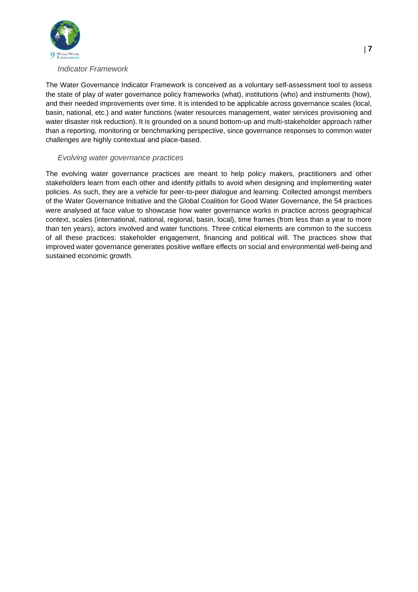

# *Indicator Framework*

The Water Governance Indicator Framework is conceived as a voluntary self-assessment tool to assess the state of play of water governance policy frameworks (what), institutions (who) and instruments (how), and their needed improvements over time. It is intended to be applicable across governance scales (local, basin, national, etc.) and water functions (water resources management, water services provisioning and water disaster risk reduction). It is grounded on a sound bottom-up and multi-stakeholder approach rather than a reporting, monitoring or benchmarking perspective, since governance responses to common water challenges are highly contextual and place-based.

# *Evolving water governance practices*

The evolving water governance practices are meant to help policy makers, practitioners and other stakeholders learn from each other and identify pitfalls to avoid when designing and implementing water policies. As such, they are a vehicle for peer-to-peer dialogue and learning. Collected amongst members of the Water Governance Initiative and the Global Coalition for Good Water Governance, the 54 practices were analysed at face value to showcase how water governance works in practice across geographical context, scales (international, national, regional, basin, local), time frames (from less than a year to more than ten years), actors involved and water functions. Three critical elements are common to the success of all these practices: stakeholder engagement, financing and political will. The practices show that improved water governance generates positive welfare effects on social and environmental well-being and sustained economic growth.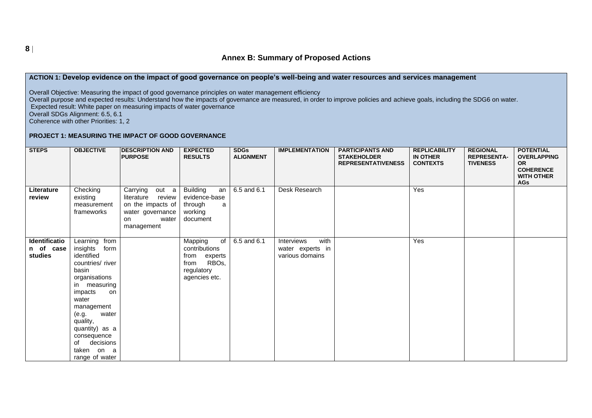# **Annex B: Summary of Proposed Actions**

# **ACTION 1: Develop evidence on the impact of good governance on people's well-being and water resources and services management**

Overall Objective: Measuring the impact of good governance principles on water management efficiency

Overall purpose and expected results: Understand how the impacts of governance are measured, in order to improve policies and achieve goals, including the SDG6 on water.

Expected result: White paper on measuring impacts of water governance

Overall SDGs Alignment: 6.5, 6.1

Coherence with other Priorities: 1, 2

#### **PROJECT 1: MEASURING THE IMPACT OF GOOD GOVERNANCE**

| <b>STEPS</b>                          | <b>OBJECTIVE</b>                                                                                                                                                                                                                                                     | <b>DESCRIPTION AND</b><br><b>PURPOSE</b>                                                                        | <b>EXPECTED</b><br><b>RESULTS</b>                                                              | <b>SDGs</b><br><b>ALIGNMENT</b> | <b>IMPLEMENTATION</b>                                     | <b>PARTICIPANTS AND</b><br><b>STAKEHOLDER</b><br><b>REPRESENTATIVENESS</b> | <b>REPLICABILITY</b><br><b>IN OTHER</b><br><b>CONTEXTS</b> | <b>REGIONAL</b><br><b>REPRESENTA-</b><br><b>TIVENESS</b> | <b>POTENTIAL</b><br><b>OVERLAPPING</b><br><b>OR</b><br><b>COHERENCE</b><br><b>WITH OTHER</b><br><b>AGs</b> |
|---------------------------------------|----------------------------------------------------------------------------------------------------------------------------------------------------------------------------------------------------------------------------------------------------------------------|-----------------------------------------------------------------------------------------------------------------|------------------------------------------------------------------------------------------------|---------------------------------|-----------------------------------------------------------|----------------------------------------------------------------------------|------------------------------------------------------------|----------------------------------------------------------|------------------------------------------------------------------------------------------------------------|
| Literature<br>review                  | Checking<br>existing<br>measurement<br>frameworks                                                                                                                                                                                                                    | Carrying<br>out a<br>literature<br>review<br>on the impacts of<br>water governance<br>water<br>on<br>management | <b>Building</b><br>an<br>evidence-base<br>through<br>a<br>working<br>document                  | 6.5 and 6.1                     | Desk Research                                             |                                                                            | Yes                                                        |                                                          |                                                                                                            |
| Identificatio<br>n of case<br>studies | Learning from<br>form<br>insights<br>identified<br>countries/ river<br>basin<br>organisations<br>in measuring<br>impacts<br>on<br>water<br>management<br>(e.g.<br>water<br>quality,<br>quantity) as a<br>consequence<br>of decisions<br>taken on a<br>range of water |                                                                                                                 | of<br>Mapping<br>contributions<br>from experts<br>RBOs,<br>from<br>regulatory<br>agencies etc. | 6.5 and 6.1                     | Interviews<br>with<br>water experts in<br>various domains |                                                                            | Yes                                                        |                                                          |                                                                                                            |

**8**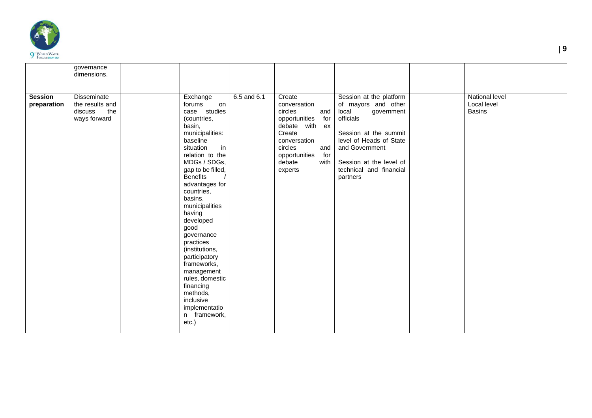

|                               | governance<br>dimensions.                                               |                                                                                                                                                                                                                                                                                                                                                                                                                                                                                   |             |                                                                                                                                                                                     |                                                                                                                                                                                                                            |                                                |  |
|-------------------------------|-------------------------------------------------------------------------|-----------------------------------------------------------------------------------------------------------------------------------------------------------------------------------------------------------------------------------------------------------------------------------------------------------------------------------------------------------------------------------------------------------------------------------------------------------------------------------|-------------|-------------------------------------------------------------------------------------------------------------------------------------------------------------------------------------|----------------------------------------------------------------------------------------------------------------------------------------------------------------------------------------------------------------------------|------------------------------------------------|--|
| <b>Session</b><br>preparation | <b>Disseminate</b><br>the results and<br>the<br>discuss<br>ways forward | Exchange<br>forums<br>on<br>case studies<br>(countries,<br>basin,<br>municipalities:<br>baseline<br>in<br>situation<br>relation to the<br>MDGs / SDGs,<br>gap to be filled,<br>Benefits<br>advantages for<br>countries,<br>basins,<br>municipalities<br>having<br>developed<br>good<br>governance<br>practices<br>(institutions,<br>participatory<br>frameworks,<br>management<br>rules, domestic<br>financing<br>methods,<br>inclusive<br>implementatio<br>n framework,<br>etc.) | 6.5 and 6.1 | Create<br>conversation<br>circles<br>and<br>opportunities<br>for<br>debate with ex<br>Create<br>conversation<br>circles<br>and<br>for<br>opportunities<br>debate<br>with<br>experts | Session at the platform<br>of mayors and other<br>local<br>government<br>officials<br>Session at the summit<br>level of Heads of State<br>and Government<br>Session at the level of<br>technical and financial<br>partners | National level<br>Local level<br><b>Basins</b> |  |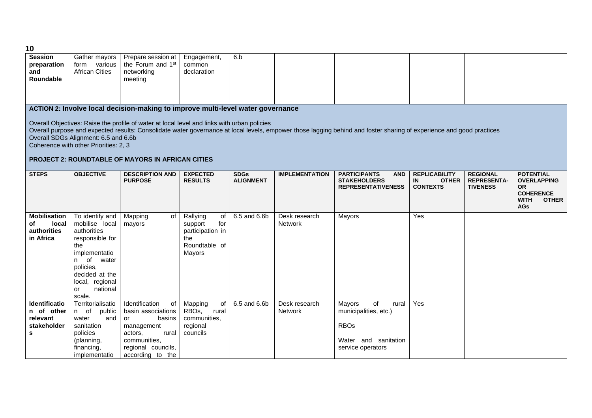| ×<br>۰. |  |
|---------|--|
|---------|--|

| . .            |                       |                                                  |             |     |  |  |  |
|----------------|-----------------------|--------------------------------------------------|-------------|-----|--|--|--|
| <b>Session</b> |                       | Gather mayors   Prepare session at   Engagement, |             | 6.b |  |  |  |
| preparation    |                       | form various   the Forum and $1st$               | common      |     |  |  |  |
| and            | <b>African Cities</b> | networking                                       | declaration |     |  |  |  |
| Roundable      |                       | meeting                                          |             |     |  |  |  |
|                |                       |                                                  |             |     |  |  |  |
|                |                       |                                                  |             |     |  |  |  |
|                |                       |                                                  |             |     |  |  |  |

## **ACTION 2: Involve local decision-making to improve multi-level water governance**

Overall Objectives: Raise the profile of water at local level and links with urban policies

Overall purpose and expected results: Consolidate water governance at local levels, empower those lagging behind and foster sharing of experience and good practices Overall SDGs Alignment: 6.5 and 6.6b

Coherence with other Priorities: 2, 3

### **PROJECT 2: ROUNDTABLE OF MAYORS IN AFRICAN CITIES**

| <b>STEPS</b>                                                   | <b>OBJECTIVE</b>                                                                                                                                                                             | <b>DESCRIPTION AND</b><br><b>PURPOSE</b>                                                                                                               | <b>EXPECTED</b><br><b>RESULTS</b>                                                      | <b>SDGs</b><br><b>ALIGNMENT</b> | <b>IMPLEMENTATION</b>           | <b>PARTICIPANTS</b><br><b>AND</b><br><b>STAKEHOLDERS</b><br><b>REPRESENTATIVENESS</b>                      | <b>REPLICABILITY</b><br><b>OTHER</b><br>IN<br><b>CONTEXTS</b> | <b>REGIONAL</b><br><b>REPRESENTA-</b><br><b>TIVENESS</b> | <b>POTENTIAL</b><br><b>OVERLAPPING</b><br><b>OR</b><br><b>COHERENCE</b><br><b>WITH</b><br><b>OTHER</b><br><b>AGs</b> |
|----------------------------------------------------------------|----------------------------------------------------------------------------------------------------------------------------------------------------------------------------------------------|--------------------------------------------------------------------------------------------------------------------------------------------------------|----------------------------------------------------------------------------------------|---------------------------------|---------------------------------|------------------------------------------------------------------------------------------------------------|---------------------------------------------------------------|----------------------------------------------------------|----------------------------------------------------------------------------------------------------------------------|
| <b>Mobilisation</b><br>local<br>of<br>authorities<br>in Africa | To identify and  <br>mobilise local<br>authorities<br>responsible for<br>the<br>implementatio<br>n of<br>water<br>policies,<br>decided at the<br>local, regional<br>national<br>or<br>scale. | Mapping<br>0f<br>mayors                                                                                                                                | Rallying<br>of<br>for<br>support<br>participation in<br>the<br>Roundtable of<br>Mayors | 6.5 and 6.6b                    | Desk research<br>Network        | Mayors                                                                                                     | <b>Yes</b>                                                    |                                                          |                                                                                                                      |
| Identificatio<br>n of other<br>relevant<br>stakeholder<br>s    | Territorialisatio<br>n of<br>public<br>water<br>and<br>sanitation<br>policies<br>(planning,<br>financing,<br>implementatio                                                                   | Identification<br>0f<br>basin associations<br>basins<br>or<br>management<br>actors,<br>rural<br>communities,<br>regional councils,<br>according to the | Mapping<br>of<br>RBOs,<br>rural<br>communities,<br>regional<br>councils                | 6.5 and 6.6b                    | Desk research<br><b>Network</b> | of<br>Mayors<br>rural<br>municipalities, etc.)<br><b>RBOs</b><br>Water and sanitation<br>service operators | Yes                                                           |                                                          |                                                                                                                      |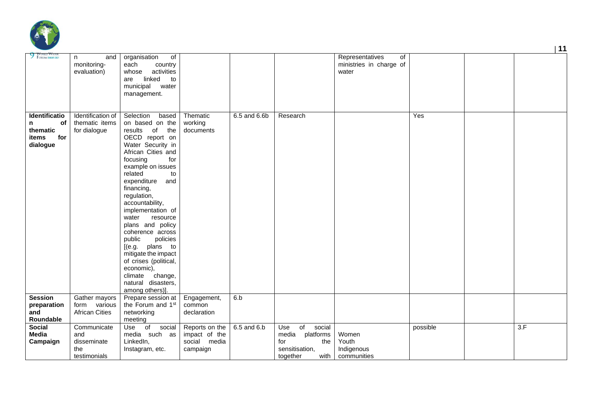

|                                                                  |                                                          |                                                                                                                                                                                                                                                                                                                                                                                                                                                                                                             |                                                             |              |                                                                                                            |                                                           |          | 11  |
|------------------------------------------------------------------|----------------------------------------------------------|-------------------------------------------------------------------------------------------------------------------------------------------------------------------------------------------------------------------------------------------------------------------------------------------------------------------------------------------------------------------------------------------------------------------------------------------------------------------------------------------------------------|-------------------------------------------------------------|--------------|------------------------------------------------------------------------------------------------------------|-----------------------------------------------------------|----------|-----|
| <b>9 WORLD WATER</b>                                             | and<br>n.<br>monitoring-<br>evaluation)                  | of<br>organisation<br>each<br>country<br>activities<br>whose<br>linked<br>to<br>are<br>municipal<br>water<br>management.                                                                                                                                                                                                                                                                                                                                                                                    |                                                             |              |                                                                                                            | Representatives<br>of<br>ministries in charge of<br>water |          |     |
| Identificatio<br>of<br>n<br>thematic<br>for<br>items<br>dialogue | Identification of<br>thematic items<br>for dialogue      | Selection<br>based<br>on based on the<br>results of<br>the<br>OECD report on<br>Water Security in<br>African Cities and<br>focusing<br>for<br>example on issues<br>related<br>to<br>expenditure<br>and<br>financing,<br>regulation,<br>accountability,<br>implementation of<br>water<br>resource<br>plans and policy<br>coherence across<br>policies<br>public<br>[(e.g. plans to<br>mitigate the impact<br>of crises (political,<br>economic),<br>climate change,<br>natural disasters,<br>among others)]. | Thematic<br>working<br>documents                            | 6.5 and 6.6b | Research                                                                                                   |                                                           | Yes      |     |
| <b>Session</b><br>preparation<br>and<br>Roundable                | Gather mayors<br>form various<br><b>African Cities</b>   | Prepare session at<br>the Forum and 1 <sup>st</sup><br>networking<br>meeting                                                                                                                                                                                                                                                                                                                                                                                                                                | Engagement,<br>common<br>declaration                        | 6.b          |                                                                                                            |                                                           |          |     |
| <b>Social</b><br><b>Media</b><br>Campaign                        | Communicate<br>and<br>disseminate<br>the<br>testimonials | of<br>Use<br>social<br>media such as<br>LinkedIn,<br>Instagram, etc.                                                                                                                                                                                                                                                                                                                                                                                                                                        | Reports on the<br>impact of the<br>social media<br>campaign | 6.5 and 6.b  | Use<br>$\overline{of}$<br>social<br>media<br>platforms<br>for<br>the<br>sensitisation,<br>together<br>with | Women<br>Youth<br>Indigenous<br>communities               | possible | 3.F |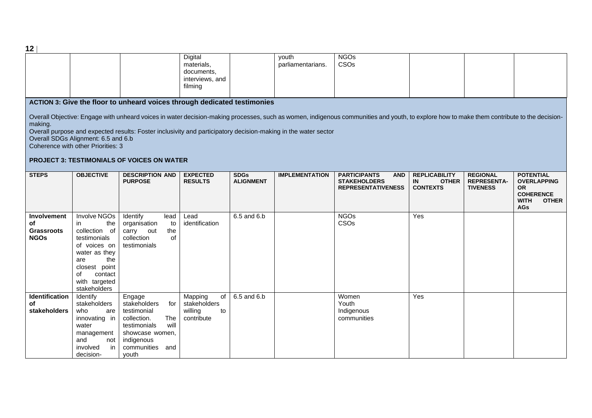| 1 Z |  |                 |                   |             |  |  |
|-----|--|-----------------|-------------------|-------------|--|--|
|     |  | Digital         | youth             | <b>NGOs</b> |  |  |
|     |  | materials,      | parliamentarians. | CSOs        |  |  |
|     |  | documents,      |                   |             |  |  |
|     |  | interviews, and |                   |             |  |  |
|     |  | filming         |                   |             |  |  |
|     |  |                 |                   |             |  |  |

# **ACTION 3: Give the floor to unheard voices through dedicated testimonies**

Overall Objective: Engage with unheard voices in water decision-making processes, such as women, indigenous communities and youth, to explore how to make them contribute to the decisionmaking.

Overall purpose and expected results: Foster inclusivity and participatory decision-making in the water sector

Overall SDGs Alignment: 6.5 and 6.b

Coherence with other Priorities: 3

#### **PROJECT 3: TESTIMONIALS OF VOICES ON WATER**

| <b>STEPS</b>                                          | <b>OBJECTIVE</b>                                                                                                                                                             | <b>DESCRIPTION AND</b><br><b>PURPOSE</b>                                                                                                                   | <b>EXPECTED</b><br><b>RESULTS</b>                            | <b>SDGs</b><br><b>ALIGNMENT</b> | <b>IMPLEMENTATION</b> | <b>PARTICIPANTS</b><br><b>AND</b><br><b>STAKEHOLDERS</b><br><b>REPRESENTATIVENESS</b> | <b>REPLICABILITY</b><br>IN<br><b>OTHER</b><br><b>CONTEXTS</b> | <b>REGIONAL</b><br><b>REPRESENTA-</b><br><b>TIVENESS</b> | <b>POTENTIAL</b><br><b>OVERLAPPING</b><br><b>OR</b><br><b>COHERENCE</b><br><b>WITH</b><br><b>OTHER</b><br><b>AGs</b> |
|-------------------------------------------------------|------------------------------------------------------------------------------------------------------------------------------------------------------------------------------|------------------------------------------------------------------------------------------------------------------------------------------------------------|--------------------------------------------------------------|---------------------------------|-----------------------|---------------------------------------------------------------------------------------|---------------------------------------------------------------|----------------------------------------------------------|----------------------------------------------------------------------------------------------------------------------|
| Involvement<br>of<br><b>Grassroots</b><br><b>NGOs</b> | Involve NGOs<br>the<br>in<br>collection of<br>testimonials<br>of voices on<br>water as they<br>the<br>are<br>closest point<br>contact<br>of<br>with targeted<br>stakeholders | Identify<br>lead<br>organisation<br>to<br>the<br>carry<br>out<br>of<br>collection<br>testimonials                                                          | Lead<br>identification                                       | 6.5 and 6.b                     |                       | <b>NGOs</b><br>CSOs                                                                   | Yes                                                           |                                                          |                                                                                                                      |
| Identification<br>of<br>stakeholders                  | Identify<br>stakeholders<br>who<br>are<br>innovating in<br>water<br>management<br>and<br>not<br>involved<br>in<br>decision-                                                  | Engage<br>stakeholders<br>for<br>testimonial<br>The<br>collection.<br>will<br>testimonials<br>showcase women,<br>indigenous<br>communities<br>and<br>youth | Mapping<br>of<br>stakeholders<br>willing<br>to<br>contribute | 6.5 and 6.b                     |                       | Women<br>Youth<br>Indigenous<br>communities                                           | Yes                                                           |                                                          |                                                                                                                      |

**12**<sup>1</sup>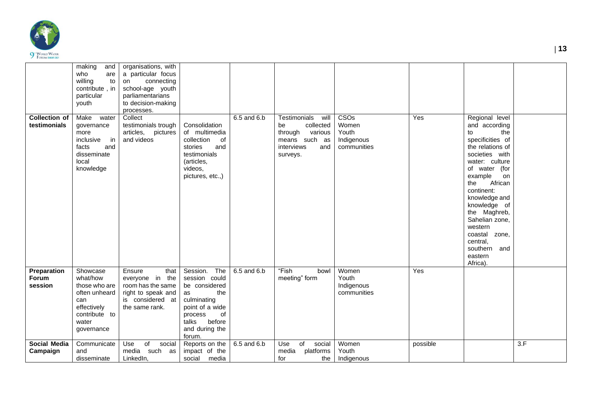

|                                               | making<br>and<br>who<br>are<br>willing<br>to<br>contribute, in<br>particular<br>youth                                | organisations, with<br>a particular focus<br>connecting<br>on<br>school-age youth<br>parliamentarians<br>to decision-making<br>processes. |                                                                                                                                                                  |             |                                                                                                                        |                                                                 |          |                                                                                                                                                                                                                                                                                                                                              |     |
|-----------------------------------------------|----------------------------------------------------------------------------------------------------------------------|-------------------------------------------------------------------------------------------------------------------------------------------|------------------------------------------------------------------------------------------------------------------------------------------------------------------|-------------|------------------------------------------------------------------------------------------------------------------------|-----------------------------------------------------------------|----------|----------------------------------------------------------------------------------------------------------------------------------------------------------------------------------------------------------------------------------------------------------------------------------------------------------------------------------------------|-----|
| <b>Collection of</b><br>testimonials          | Make<br>water<br>governance<br>more<br>inclusive<br>in<br>facts<br>and<br>disseminate<br>local<br>knowledge          | Collect<br>testimonials trough<br>articles, pictures<br>and videos                                                                        | Consolidation<br>of multimedia<br>collection<br>of<br>stories<br>and<br>testimonials<br>(articles,<br>videos,<br>pictures, etc.,)                                | 6.5 and 6.b | <b>Testimonials</b><br>will<br>collected<br>be<br>through<br>various<br>means such as<br>interviews<br>and<br>surveys. | CSO <sub>s</sub><br>Women<br>Youth<br>Indigenous<br>communities | Yes      | Regional level<br>and according<br>the<br>to<br>specificities of<br>the relations of<br>societies with<br>water: culture<br>of water (for<br>example<br>on<br>African<br>the<br>continent:<br>knowledge and<br>knowledge of<br>the Maghreb,<br>Sahelian zone,<br>western<br>coastal zone,<br>central,<br>southern and<br>eastern<br>Africa). |     |
| <b>Preparation</b><br><b>Forum</b><br>session | Showcase<br>what/how<br>those who are<br>often unheard<br>can<br>effectively<br>contribute to<br>water<br>governance | Ensure<br>that<br>everyone in the<br>room has the same<br>right to speak and<br>is considered at<br>the same rank.                        | The<br>Session.<br>session could<br>be considered<br>the<br>as<br>culminating<br>point of a wide<br>process<br>of<br>talks<br>before<br>and during the<br>forum. | 6.5 and 6.b | "Fish<br>bowl<br>meeting" form                                                                                         | Women<br>Youth<br>Indigenous<br>communities                     | Yes      |                                                                                                                                                                                                                                                                                                                                              |     |
| Social Media<br>Campaign                      | Communicate<br>and<br>disseminate                                                                                    | $\overline{of}$<br>Use<br>social<br>media such as<br>LinkedIn,                                                                            | Reports on the<br>impact of the<br>social media                                                                                                                  | 6.5 and 6.b | $\overline{of}$<br>Use<br>social<br>media<br>platforms<br>for<br>the                                                   | Women<br>Youth<br>Indigenous                                    | possible |                                                                                                                                                                                                                                                                                                                                              | 3.F |